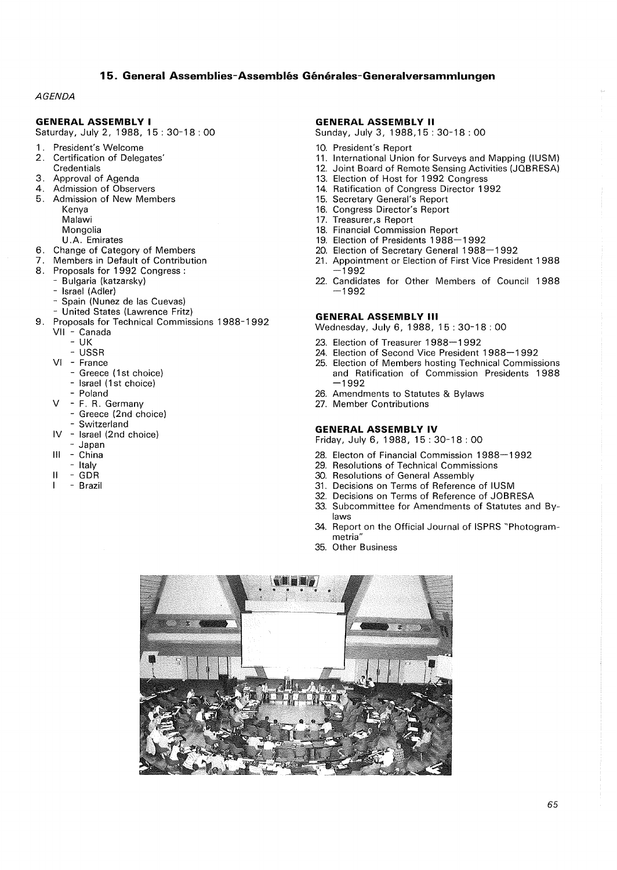# **15. General Assemblies-Assembles Generales-Generalversammlungen**

# **AGENDA**

# **GENERAL ASSEMBLY I**

Saturday, July 2, 1988, 15: 30-18: 00

- 1 . President's Welcome
- 2. Certification of Delegates' **Credentials**
- 3. Approval of Agenda
- 4. Admission of Observers
- 5. Admission of New Members Kenya
	- Malawi
	- Mongolia
	- U.A. Emirates
- 6. Change of Category of Members
- 7. Members in Default of Contribution
- 8. Proposals for 1992 Congress:
- Bulgaria (katzarsky)
	- Israel (Adler)
	- Spain (Nunez de las Cuevas)
	- United States (Lawrence Fritz)
- 9. Proposals for Technical Commissions 1988-1992
	- Vil Canada
		- UK
		- USSR
	- VI France
		- Greece (1st choice)
		- Israel (1st choice)
		- Poland
	- V F. R. Germany
	- Greece (2nd choice)
		- Switzerland
	- IV Israel (2nd choice)
	- Japan
	- Ill China
	- Italy
	- II GDR
	- Brazil

## **GENERAL ASSEMBLY II**

Sunday, July 3, 1988, 15: 30-18 : 00

- 10. President's Report
- 11. International Union for Surveys and Mapping (IUSM)
- 12. Joint Board of Remote Sensing Activities (JOBRESA)
- 13. Election of Host for 1992 Congress
- 14. Ratification of Congress Director 1992
- 15. Secretary General's Report
- 16. Congress Director's Report
- 17. Treasurer,s Report
- 18. Financial Commission Report
- 19. Election of Presidents 1988-1992
- 20. Election of Secretary General 1988-1992
- 21. Appointment or Election of First Vice President 1 988 -1992
- 22. Candidates for Other Members of Council 1988 -1992

## **GENERAL ASSEMBLY** Ill

Wednesday, July 6, 1988, 15: 30-18: 00

- 23. Election of Treasurer 1988-1992
- 24. Election of Second Vice President 1988-1992
- 25. Election of Members hosting Technical Commissions and Ratification of Commission Presidents 1988 -1992
- 26. Amendments to Statutes & Bylaws
- 27. Member Contributions

#### **GENERAL ASSEMBLY IV**

Friday, July 6, 1988, 15: 30-18: 00

- 28. Electon of Financial Commission 1988-1992
- 29. Resolutions of Technical Commissions
- 30. Resolutions of General Assembly
- 31. Decisions on Terms of Reference of IUSM
- 32. Decisions on Terms of Reference of JOBRESA
- 33. Subcommittee for Amendments of Statutes and Bylaws
- 34. Report on the Official Journal of ISPRS "Photogrammetria"
- 35. Other Business

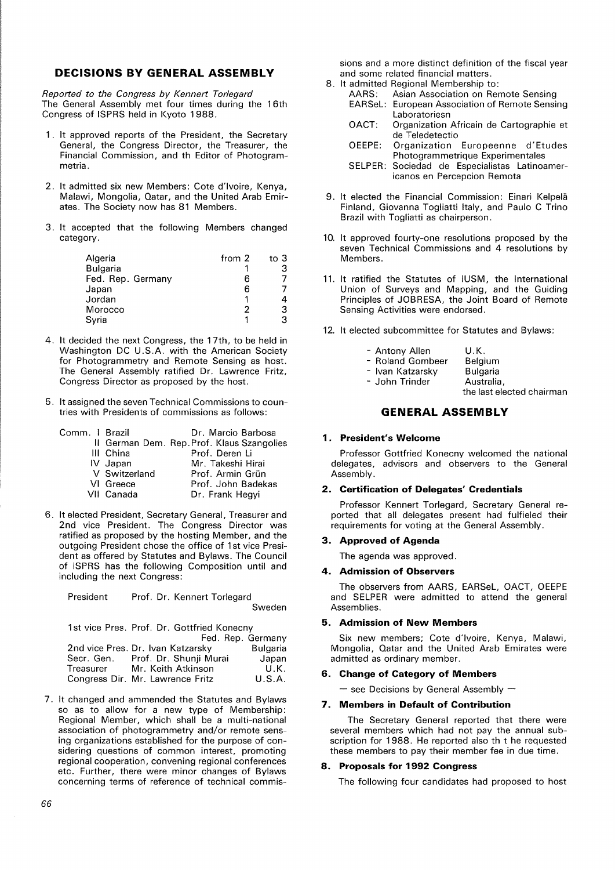# **DECISIONS BY GENERAL ASSEMBLY**

*Reported to the Congress* by *Kennert Torlegard*  The General Assembly met four times during the 16th Congress of ISPRS held in Kyoto 1988.

- 1 . It approved reports of the President, the Secretary General, the Congress Director, the Treasurer, the Financial Commission, and th Editor of Photogrammetria.
- 2. It admitted six new Members: Cote d'Ivoire, Kenya, Malawi, Mongolia, Qatar, and the United Arab Emirates. The Society now has 81 Members.
- 3. It accepted that the following Members changed category.

| Algeria           | from 2 | to $3$ |
|-------------------|--------|--------|
| <b>Bulgaria</b>   |        |        |
| Fed. Rep. Germany | 6      |        |
| Japan             | 6      |        |
| Jordan            |        |        |
| Morocco           |        | З      |
| Syria             |        |        |

- 4. It decided the next Congress, the 17th, to be held in Washington DC U.S.A. with the American Society for Photogrammetry and Remote Sensing as host. The General Assembly ratified Dr. Lawrence Fritz, Congress Director as proposed by the host.
- 5. It assigned the seven Technical Commissions to countries with Presidents of commissions as follows:

| Comm. I Brazil |               | Dr. Marcio Barbosa                         |
|----------------|---------------|--------------------------------------------|
|                |               | II German Dem. Rep. Prof. Klaus Szangolies |
|                | III China     | Prof. Deren Li                             |
|                | IV Japan      | Mr. Takeshi Hirai                          |
|                | V Switzerland | Prof. Armin Grün                           |
|                | VI Greece     | Prof. John Badekas                         |
|                | VII Canada    | Dr. Frank Hegyi                            |

6. It elected President, Secretary General, Treasurer and 2nd vice President. The Congress Director was ratified as proposed by the hosting Member, and the outgoing President chose the office of 1st vice President as offered by Statutes and Bylaws. The Council of ISPRS has the following Composition until and including the next Congress:

President Prof. Dr. Kennert Torlegard Sweden

1st vice Pres. Prof. Dr. Gottfried Konecny

|            | Fed. Rep. Germany                 |          |
|------------|-----------------------------------|----------|
|            | 2nd vice Pres. Dr. Ivan Katzarsky | Bulgaria |
| Secr. Gen. | Prof. Dr. Shunii Murai            | Japan    |
| Treasurer  | Mr. Keith Atkinson                | U.K.     |
|            | Congress Dir. Mr. Lawrence Fritz  | U.S.A.   |

7. It changed and ammended the Statutes and Bylaws so as to allow for a new type of Membership: Regional Member, which shall be a multi-national association of photogrammetry and/or remote sensing organizations established for the purpose of considering questions of common interest, promoting regional cooperation, convening regional conferences etc. Further, there were minor changes of Bylaws concerning terms of reference of technical commissions and a more distinct definition of the fiscal year and some related financial matters.

- 8. It admitted Regional Membership to:<br>AARS: Asian Association on Rer
	- Asian Association on Remote Sensing EARSeL: European Association of Remote Sensing Laboratoriesn
	- OACT: Organization Africain de Cartographie et de Teledetectio
	- OEEPE: Organization Europeenne d'Etudes Photogrammetrique Experimentales
	- SELPER: Sociedad de Especialistas Latinoamericanos en Percepcion Remota
- 9. It elected the Financial Commission: Einari Kelpela Finland, Giovanna Togliatti Italy, and Paulo C Trino Brazil with Togliatti as chairperson.
- 10. It approved fourty-one resolutions proposed by the seven Technical Commissions and 4 resolutions by Members.
- 11. It ratified the Statutes of IUSM, the International Union of Surveys and Mapping, and the Guiding Principles of JOBRESA, the Joint Board of Remote Sensing Activities were endorsed.
- 12. It elected subcommittee for Statutes and Bylaws:

| - Antony Allen   | U.K.                      |
|------------------|---------------------------|
| - Roland Gombeer | <b>Belgium</b>            |
| - Ivan Katzarsky | <b>Bulgaria</b>           |
| - John Trinder   | Australia,                |
|                  | the last elected chairman |

# **GENERAL ASSEMBLY**

# **1. President's Welcome**

Professor Gottfried Konecny welcomed the national delegates, advisors and observers to the General Assembly.

## **2. Certification of Delegates' Credentials**

Professor Kennert Torlegard, Secretary General reported that all delegates present had fulfieled their requirements for voting at the General Assembly.

#### **3. Approved of Agenda**

The agenda was approved.

## **4. Admission of Observers**

The observers from AARS, EARSeL, OACT, OEEPE and SELPER were admitted to attend the general Assemblies.

#### **5. Admission of New Members**

Six new members; Cote d'Ivoire, Kenya, Malawi, Mongolia, Qatar and the United Arab Emirates were admitted as ordinary member.

#### **6. Change of Category of Members**

 $-$  see Decisions by General Assembly  $-$ 

#### **7. Members in Default of Contribution**

The Secretary General reported that there were several members which had not pay the annual subscription for 1988. He reported also th t he requested these members to pay their member fee in due time.

#### **8. Proposals for 1992 Congress**

The following four candidates had proposed to host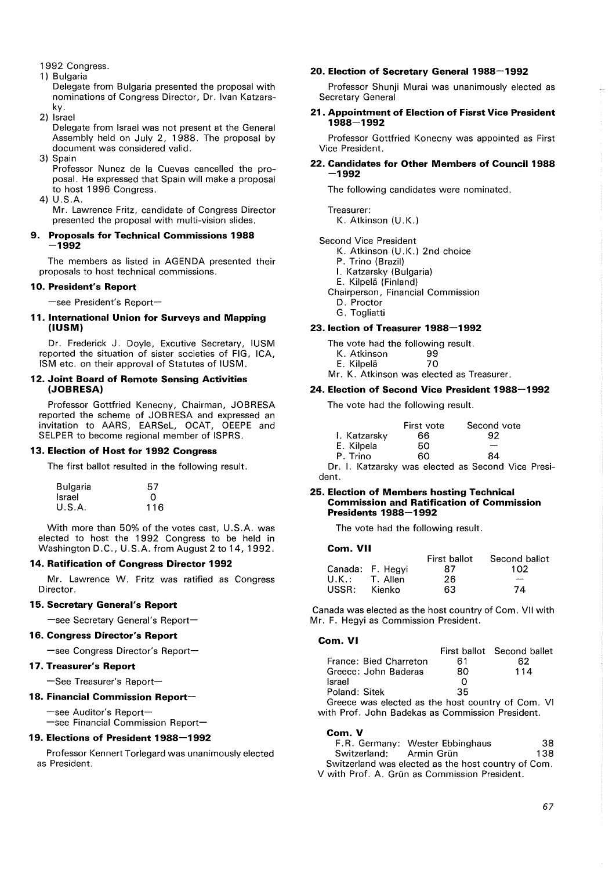- 1992 Congress.
- 1) Bulgaria

Delegate from Bulgaria presented the proposal with nominations of Congress Director, Dr. Ivan Katzarsky.

2) Israel

Delegate from Israel was not present at the General Assembly held on July 2, 1988. The proposal by document was considered valid.

3) Spain

Professor Nunez de la Cuevas cancelled the proposal. He expressed that Spain will make a proposal to host 1996 Congress.

4) U.S.A.

Mr. Lawrence Fritz, candidate of Congress Director presented the proposal with multi-vision slides.

## **9. Proposals for Technical Commissions 1988 -1992**

The members as listed in AGENDA presented their proposals to host technical commissions.

## **10. President's Report**

-see President's Report-

#### **11. International Union for Surveys and Mapping (IUSM)**

Dr. Frederick J. Doyle, Excutive Secretary, IUSM reported the situation of sister societies of FIG, ICA, ISM etc. on their approval of Statutes of IUSM.

#### **12. Joint Board of Remote Sensing Activities (JOBRESA)**

Professor Gottfried Kenecny, Chairman, J0BRESA reported the scheme of J0BRESA and expressed an invitation to AARS, EARSeL, 0CAT, 0EEPE and SELPER to become regional member of ISPRS.

## **13. Election of Host for 1992 Congress**

The first ballot resulted in the following result.

| Bulgaria | 57  |
|----------|-----|
| Israel   | O   |
| U.S.A.   | 116 |

With more than 50% of the votes cast, U.S.A. was elected to host the 1 992 Congress to be held in Washington D.C., U.S.A. from August 2 to 14, 1992.

## **14. Ratification of Congress Director 1992**

Mr. Lawrence W. Fritz was ratified as Congress Director.

## **15. Secretary General's Report**

-see Secretary General's Report-

## **16. Congress Director's Report**

-see Congress Director's Report-

## **17. Treasurer's Report**

-See Treasurer's Report-

# **18. Financial Commission Report-**

-see Auditor's Report-

 $-$ see Financial Commission Report $-$ 

## **19. Elections of President 1988-1992**

Professor Kennert Torlegard was unanimously elected as President.

## **20. Election of Secretary General 1988-1992**

Professor Shunji Murai was unanimously elected as Secretary General

## **21. Appointment of Election of Fisrst Vice President 1988-1992**

Professor Gottfried Konecny was appointed as First Vice President.

## **22. Candidates for Other Members of Council 1988 -1992**

The following candidates were nominated.

Treasurer:

K. Atkinson (U.K.)

#### Second Vice President

K. Atkinson (U.K.) 2nd choice

- P. Trino (Brazil)
- I. Katzarsky (Bulgaria)
- E. Kilpela (Finland)
- Chairperson, Financial Commission
	- D. Proctor
	- G. Togliatti

# **23. lection of Treasurer 1988-1992**

The vote had the following result.

- K. Atkinson 99 E. Kilpelä
- Mr. K. Atkinson was elected as Treasurer.

# **24. Election of Second Vice President 1988-1992**

The vote had the following result.

|              | First vote | Second vote |
|--------------|------------|-------------|
| I. Katzarsky | 66         | 92          |
| E. Kilpela   | 50         |             |
| P. Trino     | 60         | 84          |
|              |            |             |

Dr. I. Katzarsky was elected as Second Vice President.

#### **25. Election of Members hosting Technical Commission and Ratification of Commission Presidents 1988-1992**

The vote had the following result.

#### **Com. VII**

|                  |                  | First ballot | Second ballot |
|------------------|------------------|--------------|---------------|
|                  | Canada: F. Hegyi | 87           | 102           |
| $U.K.: T.$ Allen |                  | 26           | -             |
| USSR:            | Kienko           | 63           | 74            |

Canada was elected as the host country of Com. VII with Mr. F. Hegyi as Commission President.

#### **Com. VI**

|                                                   |    | First ballot Second ballet |
|---------------------------------------------------|----|----------------------------|
| France: Bied Charreton                            | 61 | 62                         |
| Greece: John Baderas                              | 80 | 114                        |
| <b>Israel</b>                                     |    |                            |
| Poland: Sitek                                     | 35 |                            |
| Greece was elected as the host country of Com. VI |    |                            |
| with Prof. John Badekas as Commission President.  |    |                            |

**Com. V**  F. R. Germany: Wester Ebbinghaus 38 Switzerland: Armin Grün 138

Switzerland was elected as the host country of Com. V with Prof. A. Grün as Commission President.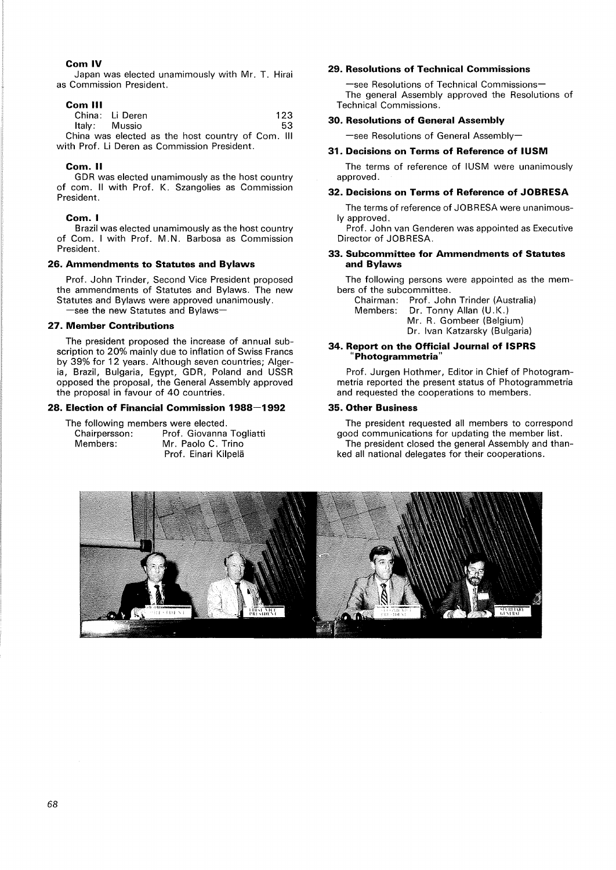## **Com IV**

Japan was elected unamimously with Mr. T. Hirai as Commission President.

#### **Com Ill**

| China: Li Deren                                   |  |  | 123 |
|---------------------------------------------------|--|--|-----|
| Italy: Mussio                                     |  |  | 53. |
| China was elected as the host country of Com. III |  |  |     |

with Prof. Li Deren as Commission President.

#### **Com. II**

GDR was elected unamimously as the host country of com. Il with Prof. K. Szangolies as Commission President.

#### **Com. I**

Brazil was elected unamimously as the host country of Com. I with Prof. M.N. Barbosa as Commission President.

#### **26. Ammendments to Statutes and Bylaws**

Prof. John Trinder, Second Vice President proposed the ammendments of Statutes and Bylaws. The new Statutes and Bylaws were approved unanimously. -see the new Statutes and Bylaws-

## **27. Member Contributions**

The president proposed the increase of annual subscription to 20% mainly due to inflation of Swiss Francs by 39% for 12 years. Although seven countries; Algeria, Brazil, Bulgaria, Egypt, GDR, Poland and USSR opposed the proposal, the General Assembly approved the proposal in favour of 40 countries.

# **28. Election of Financial Commission 1988-1992**

The following members were elected. Chairpersson: Prof. Giovanna Togliatti

| Chairpersson: | <b>Prot.</b> Glovanna Toglia |
|---------------|------------------------------|
| Members:      | Mr. Paolo C. Trino           |
|               | Prof. Einari Kilpelä         |

#### **29. Resolutions of Technical Commissions**

-see Resolutions of Technical Commissions-The general Assembly approved the Resolutions of Technical Commissions.

#### **30. Resolutions of General Assembly**

 $-$ see Resolutions of General Assembly-

#### **31. Decisions on Terms of Reference of IUSM**

The terms of reference of IUSM were unanimously approved.

#### **32. Decisions on Terms of Reference of JOBRESA**

The terms of reference of JOBRESA were unanimously approved.

Prof. John van Genderen was appointed as Executive Director of JOBRESA.

## **33. Subcommittee for Ammendments of Statutes and Bylaws**

The following persons were appointed as the members of the subcommittee.

Chairman: Prof. John Trinder {Australia) Members: Dr. Tonny Allan (U.K.) Mr. R. Gombeer {Belgium) Dr. Ivan Katzarsky (Bulgaria)

#### **34. Report on the Official Journal of ISPRS "Photogrammetria"**

Prof. Jurgen Hothmer, Editor in Chief of Photogrammetria reported the present status of Photogrammetria and requested the cooperations to members.

#### **35. Other Business**

The president requested all members to correspond good communications for updating the member list. The president closed the general Assembly and thanked all national delegates for their cooperations.

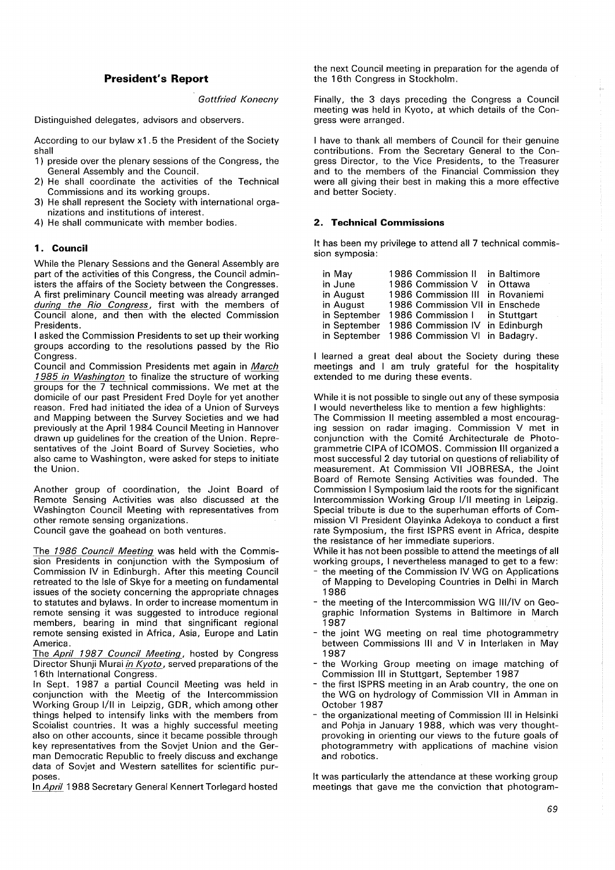## **President's Report**

*Gottfried Konecny* 

Distinguished delegates, advisors and observers.

According to our bylaw x1 . 5 the President of the Society shall

- 1) preside over the plenary sessions of the Congress, the General Assembly and the Council.
- 2) He shall coordinate the activities of the Technical Commissions and its working groups.
- 3) He shall represent the Society with international organizations and institutions of interest.
- 4) He shall communicate with member bodies.

## **1. Council**

While the Plenary Sessions and the General Assembly are part of the activities of this Congress, the Council administers the affairs of the Society between the Congresses. A first preliminary Council meeting was already arranged *during the Rio Congress,* first with the members of Council alone, and then with the elected Commission Presidents.

I asked the Commission Presidents to set up their working groups according to the resolutions passed by the Rio Congress.

Council and Commission Presidents met again in *March 1985 in Washington* to finalize the structure of working groups for the 7 technical commissions. We met at the domicile of our past President Fred Doyle for yet another reason. Fred had initiated the idea of a Union of Surveys and Mapping between the Survey Societies and we had previously at the April 1984 Council Meeting in Hannover drawn up guidelines for the creation of the Union. Representatives of the Joint Board of Survey Societies, who also came to Washington, were asked for steps to initiate the Union.

Another group of coordination, the Joint Board of Remote Sensing Activities was also discussed at the Washington Council Meeting with representatives from other remote sensing organizations.

Council gave the goahead on both ventures.

The *1986 Council Meeting* was held with the Commission Presidents in conjunction with the Symposium of Commission IV in Edinburgh. After this meeting Council retreated to the Isle of Skye for a meeting on fundamental issues of the society concerning the appropriate chnages to statutes and bylaws. In order to increase momentum in remote sensing it was suggested to introduce regional members, bearing in mind that singnificant regional remote sensing existed in Africa, Asia, Europe and Latin America.

The *April 1987 Council Meeting*, hosted by Congress Director Shunji Murai *in Kyoto,* served preparations of the 16th International Congress.

In Sept. 1987 a partial Council Meeting was held in conjunction with the Meetig of the lntercommission Working Group 1/11 in Leipzig, GDR, which among other things helped to intensify links with the members from Scoialist countries. It was a highly successful meeting also on other accounts, since it became possible through key representatives from the Sovjet Union and the German Democratic Republic to freely discuss and exchange data of Sovjet and Western satellites for scientific purposes.

In *April* 1988 Secretary General Kennert Torlegard hosted

the next Council meeting in preparation for the agenda of the 16th Congress in Stockholm.

Finally, the 3 days preceding the Congress a Council meeting was held in Kyoto, at which details of the Congress were arranged.

I have to thank all members of Council for their genuine contributions. From the Secretary General to the Congress Director, to the Vice Presidents, to the Treasurer and to the members of the Financial Commission they were all giving their best in making this a more effective and better Society.

# **2. Technical Commissions**

It has been my privilege to attend all 7 technical commission symposia:

| in May       | 1986 Commission II                          |  | in Baltimore |
|--------------|---------------------------------------------|--|--------------|
| in June      | 1986 Commission V in Ottawa                 |  |              |
| in August    | 1986 Commission III in Rovaniemi            |  |              |
| in August    | 1986 Commission VII in Enschede             |  |              |
|              | in September 1986 Commission I in Stuttgart |  |              |
| in September | 1986 Commission IV in Edinburgh             |  |              |
|              | in September 1986 Commission VI in Badagry. |  |              |

I learned a great deal about the Society during these meetings and I am truly grateful for the hospitality extended to me during these events.

While it is not possible to single out any of these symposia I would nevertheless like to mention a few highlights: The Commission II meeting assembled a most encouraging session on radar imaging. Commission V met in conjunction with the Comite Architecturale de Photogrammetrie CIPA of ICOMOS. Commission Ill organized a most successful 2 day tutorial on questions of reliability of measurement. At Commission VII JOBRESA, the Joint Board of Remote Sensing Activities was founded. The Commission I Symposium laid the roots for the significant lntercommission Working Group 1/11 meeting in Leipzig. Special tribute is due to the superhuman efforts of Commission VI President Olayinka Adekoya to conduct a first rate Symposium, the first ISPRS event in Africa, despite the resistance of her immediate superiors.

While it has not been possible to attend the meetings of all working groups, I nevertheless managed to get to a few:

- the meeting of the Commission IV WG on Applications of Mapping to Developing Countries in Delhi in March 1986
- the meeting of the lntercommission WG Ill/IV on Geographic Information Systems in Baltimore in March 1987
- the joint WG meeting on real time photogrammetry between Commissions Ill and V in Interlaken in May 1987
- the Working Group meeting on image matching of Commission Ill in Stuttgart, September 1987
- the first ISPRS meeting in an Arab country, the one on the WG on hydrology of Commission VII in Amman in October 1 987
- the organizational meeting of Commission Ill in Helsinki and Pohja in January 1988, which was very thoughtprovoking in orienting our views to the future goals of photogrammetry with applications of machine vision and robotics.

It was particularly the attendance at these working group meetings that gave me the conviction that photogram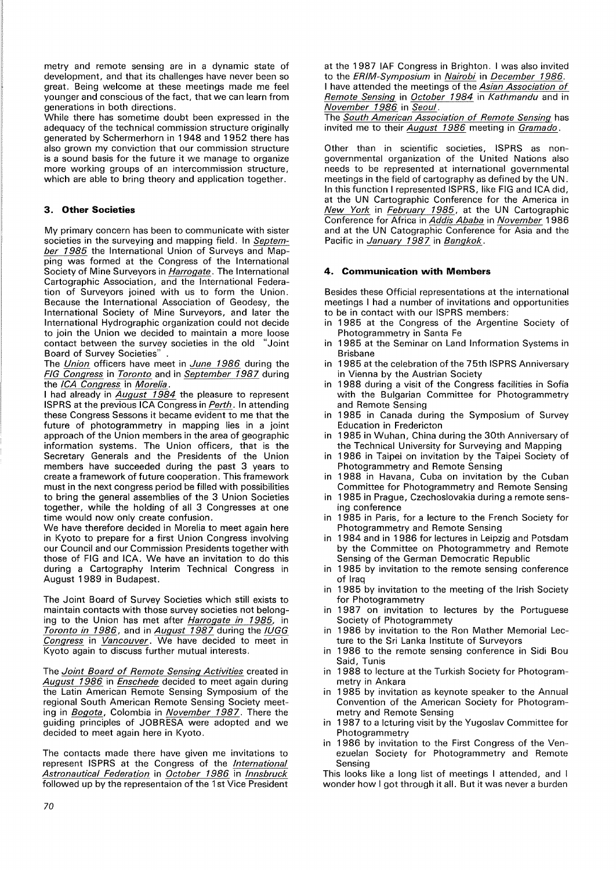metry and remote sensing are in a dynamic state of development, and that its challenges have never been so great. Being welcome at these meetings made me feel younger and conscious of the fact, that we can learn from generations in both directions.

While there has sometime doubt been expressed in the adequacy of the technical commission structure originally generated by Schermerhorn in 1948 and 1952 there has also grown my conviction that our commission structure is a sound basis for the future it we manage to organize more working groups of an intercommission structure, which are able to bring theory and application together.

# **3. Other Societies**

My primary concern has been to communicate with sister societies in the surveying and mapping field. In *September 1985* the International Union of Surveys and Mapping was formed at the Congress of the International Society of Mine Surveyors in *Harrogate.* The International Cartographic Association, and the International Federation of Surveyors joined with us to form the Union. Because the International Association of Geodesy, the International Society of Mine Surveyors, and later the International Hydrographic organization could not decide to join the Union we decided to maintain a more loose<br>contact between the survey societies in the old "Joint contact between the survey societies in the old Board of Survey Societies" .

The *Union* officers have meet in *June 1986* during the *FIG Congress* in *Toronto* and in *September 1987* during the */CA Congress* in *Morelia.* 

I had already in *August 1984* the pleasure to represent ISPRS at the previous ICA Congress in *Perth.* In attending these Congress Sessons it became evident to me that the future of photogrammetry in mapping lies in a joint approach of the Union members in the area of geographic information systems. The Union officers, that is the Secretary Generals and the Presidents of the Union members have succeeded during the past 3 years to create a framework of future cooperation. This framework must in the next congress period be filled with possibilities to bring the general assemblies of the 3 Union Societies together, while the holding of all 3 Congresses at one time would now only create confusion.

We have therefore decided in Morelia to meet again here in Kyoto to prepare for a first Union Congress involving our Council and our Commission Presidents together with those of FIG and ICA. We have an invitation to do this during a Cartography Interim Technical Congress in August 1989 in Budapest.

The Joint Board of Survey Societies which still exists to maintain contacts with those survey societies not belonging to the Union has met after *Harrogate in 1985,* in *Toronto in 1986,* and in *August 1987* during the *IUGG Congress* in *Vancouver.* We have decided to meet in Kyoto again to discuss further mutual interests.

The *Joint Board of Remote Sensing Activities* created in *August 1986* in *Enschede* decided to meet again during the Latin American Remote Sensing Symposium of the regional South American Remote Sensing Society meeting in *Bogota*, Colombia in *November* 1987. There the guiding principles of JOBRESA were adopted and we decided to meet again here in Kyoto.

The contacts made there have given me invitations to represent ISPRS at the Congress of the *International Astronautical Federation* in *October 1986* in *Innsbruck*  followed up by the representaion of the 1st Vice President at the 1987 IAF Congress in Brighton. I was also invited to the *£RIM-Symposium* in *Nairobi* in *December 1986.*  I have attended the meetings of the *Asian Association of Remote Sensing* in *October 1984* in *Kathmandu* and in *November 1986* in *Seoul.* 

The *South American Association of Remote Sensing* has invited me to their *August 1986* meeting in *Gramado.* 

Other than in scientific societies, ISPRS as nongovernmental organization of the United Nations also needs to be represented at international governmental meetings in the field of cartography as defined by the UN. In this function I represented ISPRS, like FIG and ICA did, at the UN Cartographic Conference for the America in *New York* in *February 1985,* at the UN Cartographic Conference for Africa in *Addis Ababa* in *November* 1 986 and at the UN Catographic Conference for Asia and the Pacific in *January 1987* in *Bangkok*.

# **4. Communication with Members**

Besides these Official representations at the international meetings I had a number of invitations and opportunities to be in contact with our ISPRS members:

- in 1985 at the Congress of the Argentine Society of Photogrammetry in Santa Fe
- in 1985 at the Seminar on Land Information Systems in Brisbane
- in 1985 at the celebration of the 75th ISPRS Anniversary in Vienna by the Austrian Society
- in 1 988 during a visit of the Congress facilities in Sofia with the Bulgarian Committee for Photogrammetry and Remote Sensing
- in 1985 in Canada during the Symposium of Survey Education in Fredericton
- in 1985 in Wuhan, China during the 30th Anniversary of the Technical University for Surveying and Mapping
- in 1986 in Taipei on invitation by the Taipei Society of Photogrammetry and Remote Sensing
- in 1988 in Havana, Cuba on invitation by the Cuban Committee for Photogrammetry and Remote Sensing
- in 1985 in Prague, Czechoslovakia during a remote sensing conference
- in 1985 in Paris, for a lecture to the French Society for Photogrammetry and Remote Sensing
- in 1984 and in 1986 for lectures in Leipzig and Potsdam by the Committee on Photogrammetry and Remote Sensing of the German Democratic Republic
- in 1985 by invitation to the remote sensing conference of Iraq
- in 1985 by invitation to the meeting of the Irish Society for Photogrammetry
- in 1987 on invitation to lectures by the Portuguese Society of Photogrammety
- in 1986 by invitation to the Ron Mather Memorial Lecture to the Sri Lanka Institute of Surveyors
- in 1 986 to the remote sensing conference in Sidi Bou Said, Tunis
- in 1 988 to lecture at the Turkish Society for Photogrammetry in Ankara
- in 1985 by invitation as keynote speaker to the Annual Convention of the American Society for Photogrammetry and Remote Sensing
- in 1987 to a lcturing visit by the Yugoslav Committee for Photogrammetry
- in 1986 by invitation to the First Congress of the Venezuelan Society for Photogrammetry and Remote Sensing

This looks like a long list of meetings I attended, and I wonder how I got through it all. But it was never a burden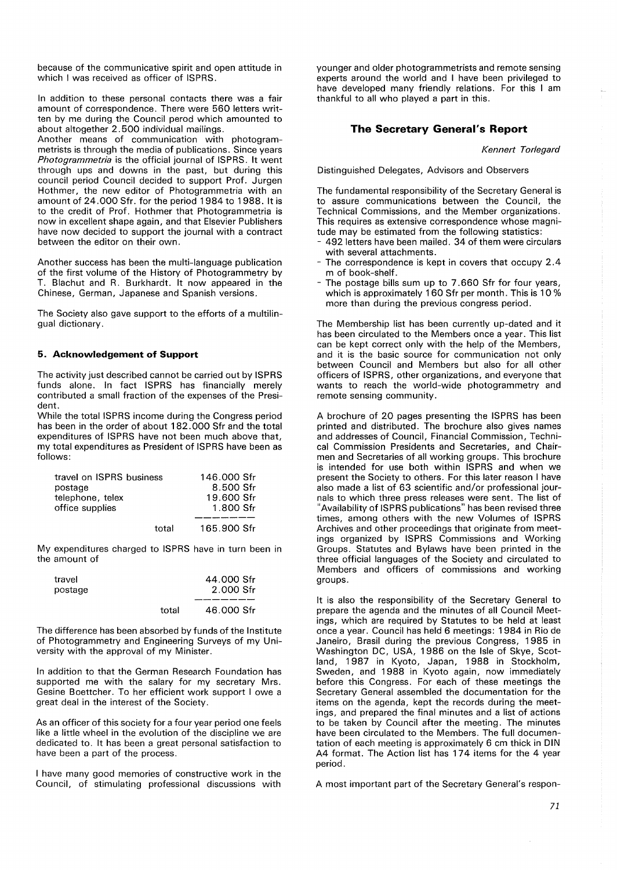because of the communicative spirit and open attitude in which I was received as officer of ISPRS.

In addition to these personal contacts there was a fair amount of correspondence. There were 560 letters written by me during the Council perod which amounted to about altogether 2. 500 individual mailings.

Another means of communication with photogrammetrists is through the media of publications. Since years *Photogrammetria* is the official journal of ISPRS. It went through ups and downs in the past, but during this council period Council decided to support Prof. Jurgen Hothmer, the new editor of Photogrammetria with an amount of 24.000 Sfr. for the period 1984 to 1988. It is to the credit of Prof. Hothmer that Photogrammetria is now in excellent shape again, and that Elsevier Publishers have now decided to support the journal with a contract between the editor on their own.

Another success has been the multi-language publication of the first volume of the History of Photogrammetry by T. Blachut and R. Burkhardt. It now appeared in the Chinese, German, Japanese and Spanish versions.

The Society also gave support to the efforts of a multilingual dictionary.

## **5. Acknowledgement of Support**

The activity just described cannot be carried out by ISPRS funds alone. In fact ISPRS has financially merely contributed a small fraction of the expenses of the President.

While the total ISPRS income during the Congress period has been in the order of about 182. 000 Sfr and the total expenditures of ISPRS have not been much above that, my total expenditures as President of ISPRS have been as follows:

| travel on ISPRS business |       | 146,000 Sfr |
|--------------------------|-------|-------------|
| postage                  |       | 8.500 Sfr   |
| telephone, telex         |       | 19.600 Sfr  |
| office supplies          |       | 1.800 Sfr   |
|                          |       |             |
|                          | total | 165.900 Sfr |

My expenditures charged to ISPRS have in turn been in the amount of

| travel  |       | 44.000 Sfr |
|---------|-------|------------|
| postage |       | 2.000 Sfr  |
|         |       |            |
|         | total | 46.000 Sfr |

The difference has been absorbed by funds of the Institute of Photogrammetry and Engineering Surveys of my University with the approval of my Minister.

In addition to that the German Research Foundation has supported me with the salary for my secretary Mrs. Gesine Boettcher. To her efficient work support I owe a great deal in the interest of the Society.

As an officer of this society for a four year period one feels like a little wheel in the evolution of the discipline we are dedicated to. It has been a great personal satisfaction to have been a part of the process.

I have many good memories of constructive work in the Council, of stimulating professional discussions with younger and older photogrammetrists and remote sensing experts around the world and I have been privileged to have developed many friendly relations. For this I am thankful to all who played a part in this.

# **The Secretary General's Report**

*Kennert Torlegard* 

Distinguished Delegates, Advisors and Observers

The fundamental responsibility of the Secretary General is to assure communications between the Council, the Technical Commissions, and the Member organizations. This requires as extensive correspondence whose magnitude may be estimated from the following statistics:

- 492 letters have been mailed. 34 of them were circulars with several attachments.
- The correspondence is kept in covers that occupy 2.4 m of book-shelf.
- The postage bills sum up to 7.660 Sfr for four vears. which is approximately 160 Sfr per month. This is 10 % more than during the previous congress period.

The Membership list has been currently up-dated and it has been circulated to the Members once a year. This list can be kept correct only with the help of the Members, and it is the basic source for communication not only between Council and Members but also for all other officers of ISPRS, other organizations, and everyone that wants to reach the world-wide photogrammetry and remote sensing community.

A brochure of 20 pages presenting the ISPRS has been printed and distributed. The brochure also gives names and addresses of Council, Financial Commission, Technical Commission Presidents and Secretaries, and Chairmen and Secretaries of all working groups. This brochure is intended for use both within ISPRS and when we present the Society to others. For this later reason I have also made a list of 63 scientific and/or professional journals to which three press releases were sent. The list of "Availability of ISPRS publications" has been revised three times, among others with the new Volumes of ISPRS Archives and other proceedings that originate from meetings organized by ISPRS Commissions and Working Groups. Statutes and Bylaws have been printed in the three official languages of the Society and circulated to Members and officers of commissions and working groups.

It is also the responsibility of the Secretary General to prepare the agenda and the minutes of all Council Meetings, which are required by Statutes to be held at least once a year. Council has held 6 meetings: 1984 in Rio de Janeiro, Brasil during the previous Congress, 1985 in Washington DC, USA, 1986 on the Isle of Skye, Scotland, 1987 in Kyoto, Japan, 1988 in Stockholm, Sweden, and 1988 in Kyoto again, now immediately before this Congress. For each of these meetings the Secretary General assembled the documentation for the items on the agenda, kept the records during the meetings, and prepared the final minutes and a list of actions to be taken by Council after the meeting. The minutes have been circulated to the Members. The full documentation of each meeting is approximately 6 cm thick in DIN A4 format. The Action list has 174 items for the 4 year period.

A most important part of the Secretary General's respon-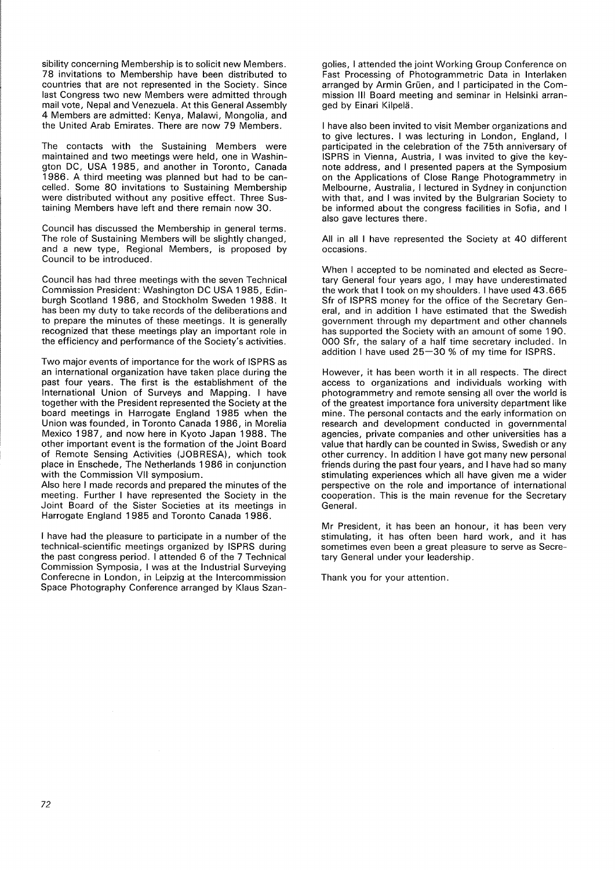sibility concerning Membership is to solicit new Members. 78 invitations to Membership have been distributed to countries that are not represented in the Society. Since last Congress two new Members were admitted through mail vote, Nepal and Venezuela. At this General Assembly 4 Members are admitted: Kenya, Malawi, Mongolia, and the United Arab Emirates. There are now 79 Members.

The contacts with the Sustaining Members were maintained and two meetings were held, one in Washington DC, USA 1985, and another in Toronto, Canada 1 986. A third meeting was planned but had to be cancelled. Some 80 invitations to Sustaining Membership were distributed without any positive effect. Three Sustaining Members have left and there remain now 30.

Council has discussed the Membership in general terms. The role of Sustaining Members will be slightly changed, and a new type, Regional Members, is proposed by Council to be introduced.

Council has had three meetings with the seven Technical Commission President: Washington DC USA 1985, Edinburgh Scotland 1986, and Stockholm Sweden 1988. It has been my duty to take records of the deliberations and to prepare the minutes of these meetings. It is generally recognized that these meetings play an important role in the efficiency and performance of the Society's activities.

Two major events of importance for the work of ISPRS as an international organization have taken place during the past four years. The first is the establishment of the International Union of Surveys and Mapping. I have together with the President represented the Society at the board meetings in Harrogate England 1985 when the Union was founded, in Toronto Canada 1986, in Morelia Mexico 1987, and now here in Kyoto Japan 1988. The other important event is the formation of the Joint Board of Remote Sensing Activities (JOBRESA), which took place in Enschede, The Netherlands 1986 in conjunction with the Commission VII symposium.

Also here I made records and prepared the minutes of the meeting. Further I have represented the Society in the Joint Board of the Sister Societies at its meetings in Harrogate England 1985 and Toronto Canada 1986.

I have had the pleasure to participate in a number of the technical-scientific meetings organized by ISPRS during the past congress period. I attended 6 of the 7 Technical Commission Symposia, I was at the Industrial Surveying Conferecne in London, in Leipzig at the lntercommission Space Photography Conference arranged by Klaus Szangolies, I attended the joint Working Group Conference on Fast Processing of Photogrammetric Data in Interlaken arranged by Armin Grüen, and I participated in the Commission Ill Board meeting and seminar in Helsinki arranged by Einari Kilpela.

I have also been invited to visit Member organizations and to give lectures. I was lecturing in London, England, I participated in the celebration of the 75th anniversary of ISPRS in Vienna, Austria, I was invited to give the keynote address, and I presented papers at the Symposium on the Applications of Close Range Photogrammetry in Melbourne, Australia, I lectured in Sydney in conjunction with that, and I was invited by the Bulgrarian Society to be informed about the congress facilities in Sofia, and I also gave lectures there.

All in all I have represented the Society at 40 different occasions.

When I accepted to be nominated and elected as Secretary General four years ago, I may have underestimated the work that I took on my shoulders. I have used 43. 665 Sfr of ISPRS money for the office of the Secretary General, and in addition I have estimated that the Swedish government through my department and other channels has supported the Society with an amount of some 190. 000 Sfr, the salary of a half time secretary included. In addition I have used 25-30 % of my time for ISPRS.

However, it has been worth it in all respects. The direct access to organizations and individuals working with photogrammetry and remote sensing all over the world is of the greatest importance fora university department like mine. The personal contacts and the early information on research and development conducted in governmental agencies, private companies and other universities has a value that hardly can be counted in Swiss, Swedish or any other currency. In addition I have got many new personal friends during the past four years, and I have had so many stimulating experiences which all have given me a wider perspective on the role and importance of international cooperation. This is the main revenue for the Secretary General.

Mr President, it has been an honour, it has been very stimulating, it has often been hard work, and it has sometimes even been a great pleasure to serve as Secretary General under your leadership.

Thank you for your attention.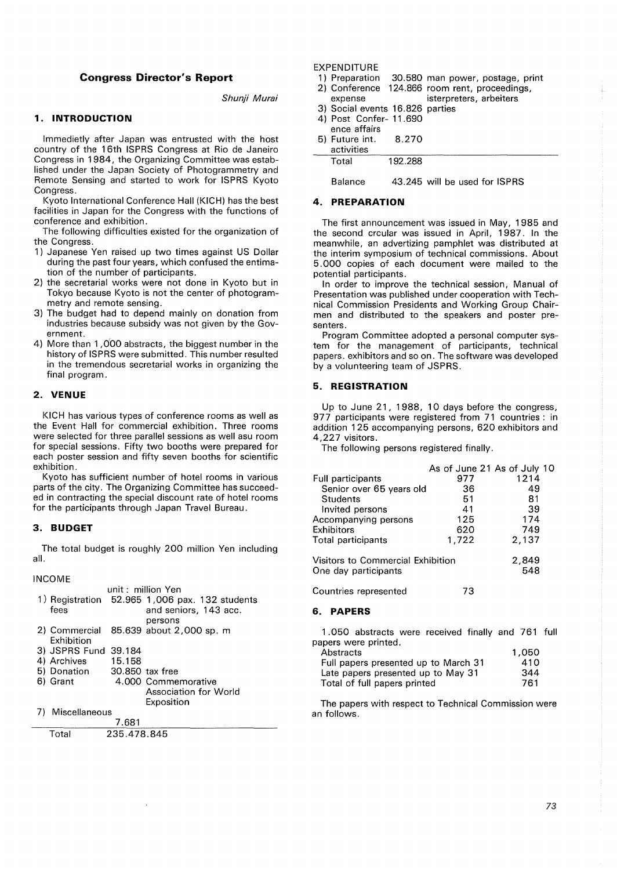# **Congress Director's Report**

Shunji Murai

# **1. INTRODUCTION**

lmmedietly after Japan was entrusted with the host country of the 16th ISPRS Congress at Rio de Janeiro Congress in 1984, the Organizing Committee was established under the Japan Society of Photogrammetry and Remote Sensing and started to work for ISPRS Kyoto Congress.

Kyoto International Conference Hall (KICH) has the best facilities in Japan for the Congress with the functions of conference and exhibition.

The following difficulties existed for the organization of the Congress.

- 1) Japanese Yen raised up two times against US Dollar during the past four years, which confused the entimation of the number of participants.
- 2) the secretarial works were not done in Kyoto but in Tokyo because Kyoto is not the center of photogrammetry and remote sensing.
- 3) The budget had to depend mainly on donation from industries because subsidy was not given by the Government.
- 4) More than 1,000 abstracts, the biggest number in the history of ISPRS were submitted. This number resulted in the tremendous secretarial works in organizing the final program.

#### **2. VENUE**

KICH has various types of conference rooms as well as the Event Hall for commercial exhibition. Three rooms were selected for three parallel sessions as well asu room for special sessions. Fifty two booths were prepared for each poster session and fifty seven booths for scientific exhibition.

Kyoto has sufficient number of hotel rooms in various parts of the city. The Organizing Committee has succeeded in contracting the special discount rate of hotel rooms for the participants through Japan Travel Bureau.

#### **3. BUDGET**

The total budget is roughly 200 million Yen including all.

INCOME

|    |                             |             | unit: million Yen                              |
|----|-----------------------------|-------------|------------------------------------------------|
|    |                             |             | 1) Registration 52.965 1,006 pax. 132 students |
|    | fees                        |             | and seniors, 143 acc.                          |
|    |                             |             | persons                                        |
|    |                             |             | 2) Commercial 85.639 about 2,000 sp. m         |
|    | Exhibition                  |             |                                                |
|    | 3) JSPRS Fund 39.184        |             |                                                |
|    | 4) Archives                 | 15.158      |                                                |
|    | 5) Donation 30.850 tax free |             |                                                |
|    | 6) Grant                    |             | 4.000 Commemorative                            |
|    |                             |             | Association for World                          |
|    |                             |             | Exposition                                     |
| 7) | Miscellaneous               |             |                                                |
|    |                             | 7.681       |                                                |
|    | Total                       | 235.478.845 |                                                |

 $\ddot{\phantom{a}}$ 

# EXPENDITURE<br>1) Preparation

- 30.580 man power, postage, print
- 2) Conference 124.866 room rent, proceedings,<br>expense isterpreters, arbeiters isterpreters, arbeiters
- 3) Social events 16.826 parties
- 4) Post Confer- 11.690

|  | ence affairs |  |
|--|--------------|--|
|  |              |  |

| 5) Future int.<br>activities | 8.270   |  |
|------------------------------|---------|--|
| Total                        | 192.288 |  |

Balance 43.245 will be used for ISPRS

## **4. PREPARATION**

The first announcement was issued in May, 1985 and the second crcular was issued in April, 1987. In the meanwhile, an advertizing pamphlet was distributed at the interim symposium of technical commissions. About 5. 000 copies of each document were mailed to the potential participants.

In order to improve the technical session, Manual of Presentation was published under cooperation with Technical Commission Presidents and Working Group Chairmen and distributed to the speakers and poster presenters.

Program Committee adopted a personal computer system for the management of participants, technical papers. exhibitors and so on. The software was developed by a volunteering team of JSPRS.

#### **5. REGISTRATION**

Up to June 21, 1988, 10 days before the congress, 977 participants were registered from 71 countries : in addition 1 25 accompanying persons, 620 exhibitors and 4,227 visitors.

The following persons registered finally.

|                                   | As of June 21 As of July 10 |       |
|-----------------------------------|-----------------------------|-------|
| Full participants                 | 977                         | 1214  |
| Senior over 65 years old          | 36                          | 49    |
| Students                          | 51                          | 81    |
| Invited persons                   | 41                          | 39    |
| Accompanying persons              | 125                         | 174   |
| Exhibitors                        | 620                         | 749   |
| Total participants                | 1,722                       | 2,137 |
| Visitors to Commercial Exhibition |                             | 2,849 |
| One day participants              |                             | 548   |
| Countries represented             | 73                          |       |

#### **6. PAPERS**

1 .050 abstracts were received finally and 761 full papers were printed.

| Abstracts                            | 1.050 |
|--------------------------------------|-------|
| Full papers presented up to March 31 | 410   |
| Late papers presented up to May 31   | 344   |
| Total of full papers printed         | 761   |

The papers with respect to Technical Commission were an follows.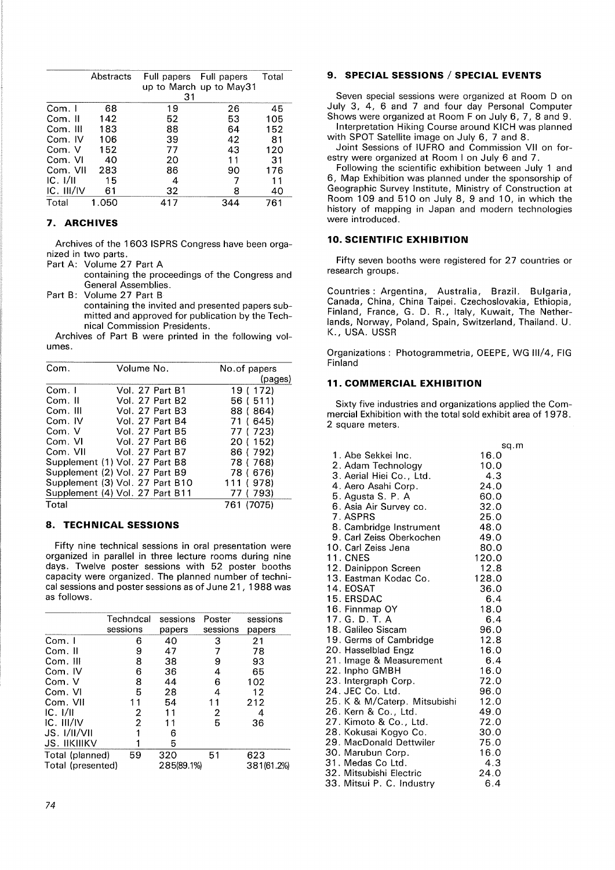|            | Abstracts | Full papers Full papers<br>31 | up to March up to May31 | Total |
|------------|-----------|-------------------------------|-------------------------|-------|
| Com. I     | 68        | 19                            | 26                      | 45    |
| Com. II    | 142       | 52                            | 53                      | 105   |
| Com. III   | 183       | 88                            | 64                      | 152   |
| Com. IV    | 106       | 39                            | 42                      | 81    |
| Com. V     | 152       | 77                            | 43                      | 120   |
| Com. VI    | 40        | 20                            | 11                      | 31    |
| Com. VII   | 283       | 86                            | 90                      | 176   |
| IC. I/II   | 15        | 4                             |                         | 11    |
| IC. III/IV | 61        | 32                            | 8                       | 40    |
| Total      | 1.050     | 417                           | 344                     | 761   |

# **7. ARCHIVES**

Archives of the 1603 ISPRS Congress have been organized in two parts.

Part A: Volume 27 Part A

containing the proceedings of the Congress and General Assemblies.

Part B: Volume 27 Part B

containing the invited and presented papers submitted and approved for publication by the Technical Commission Presidents.

Archives of Part B were printed in the following volumes.

| Com.     | Volume No.                      | No.of papers |
|----------|---------------------------------|--------------|
|          |                                 | (pages)      |
| Com. I   | Vol. 27 Part B1                 | 19 ( 172)    |
| Com. II  | <b>Vol. 27 Part B2</b>          | 56 ( 511)    |
| Com. III | Vol. 27 Part B3                 | 88 (864)     |
| Com. IV  | <b>Vol. 27 Part B4</b>          | 71 (645)     |
| Com. V   | <b>Vol. 27 Part B5</b>          | 77 ( 723)    |
| Com. VI  | <b>Vol. 27 Part B6</b>          | 20 ( 152)    |
| Com. VII | Vol. 27 Part B7                 | 86 (792)     |
|          | Supplement (1) Vol. 27 Part B8  | 78 (768)     |
|          | Supplement (2) Vol. 27 Part B9  | 78 ( 676)    |
|          | Supplement (3) Vol. 27 Part B10 | 111 (978)    |
|          | Supplement (4) Vol. 27 Part B11 | 77 ( 793)    |
| Total    |                                 | 761 (7075)   |

## **8. TECHNICAL SESSIONS**

Fifty nine technical sessions in oral presentation were organized in parallel in three lecture rooms during nine days. Twelve poster sessions with 52 poster booths capacity were organized. The planned number of technical sessions and poster sessions as of June 21, 1988 was as follows.

|                   | Techndcal | sessions   | Poster   | sessions   |
|-------------------|-----------|------------|----------|------------|
|                   | sessions  | papers     | sessions | papers     |
| Com. I            | 6         | 40         | 3        | 21         |
| Com. II           | 9         | 47         |          | 78         |
| Com. III          | 8         | 38         | 9        | 93         |
| Com. IV           | 6         | 36         | 4        | 65         |
| Com. V            | 8         | 44         | 6        | 102        |
| Com. VI           | 5         | 28         | 4        | 12         |
| Com. VII          | 11        | 54         | 11       | 212        |
| IC. 1/II          | 2         | 11         | 2        | 4          |
| IC. III/IV        | 2         | 11         | 5        | 36         |
| JS. I/II/VII      |           | 6          |          |            |
| JS. IIKIIIKV      |           | 5          |          |            |
| Total (planned)   | 59        | 320        | 51       | 623        |
| Total (presented) |           | 285(89.1%) |          | 381(61.2%) |
|                   |           |            |          |            |

#### **9. SPECIAL SESSIONS / SPECIAL EVENTS**

Seven special sessions were organized at Room D on July 3, 4, 6 and 7 and four day Personal Computer Shows were organized at Room F on July 6, 7, 8 and 9. Interpretation Hiking Course around KICH was planned

with SPOT Satellite image on July 6, 7 and 8.

Joint Sessions of IUFRO and Commission VII on forestry were organized at Room I on July 6 and 7.

Following the scientific exhibition between July 1 and 6, Map Exhibition was planned under the sponsorship of Geographic Survey Institute, Ministry of Construction at Room 109 and 510 on July 8, 9 and 10, in which the history of mapping in Japan and modern technologies were introduced.

# **10. SCIENTIFIC EXHIBITION**

Fifty seven booths were registered for 27 countries or research groups.

Countries: Argentina, Australia, Brazil. Bulgaria, Canada, China, China Taipei. Czechoslovakia, Ethiopia, Finland, France, G. D. R., Italy, Kuwait, The Netherlands, Norway, Poland, Spain, Switzerland, Thailand. U. K., USA. USSR

Organizations: Photogrammetria, OEEPE, WG 111/4, FIG Finland

# **11. COMMERCIAL EXHIBITION**

Sixty five industries and organizations applied the Commercial Exhibition with the total sold exhibit area of 1978. 2 square meters.

|                              | sq.m  |
|------------------------------|-------|
| 1. Abe Sekkei Inc.           | 16.0  |
| 2. Adam Technology           | 10.0  |
| 3. Aerial Hiei Co., Ltd.     | 4.3   |
| 4. Aero Asahi Corp.          | 24.0  |
| 5. Agusta S. P. A            | 60.0  |
| 6. Asia Air Survey co.       | 32.0  |
| 7. ASPRS                     | 25.0  |
| 8. Cambridge Instrument      | 48.0  |
| 9. Carl Zeiss Oberkochen     | 49.0  |
| 10. Carl Zeiss Jena          | 80.0  |
| <b>11. CNES</b>              | 120.0 |
| 12. Dainippon Screen         | 12.8  |
| 13. Eastman Kodac Co.        | 128.0 |
| 14. EOSAT                    | 36.0  |
| 15. ERSDAC                   | 6.4   |
| 16. Finnmap OY               | 18.0  |
| 17. G. D. T. A               | 6.4   |
| 18. Galileo Siscam           | 96.0  |
| 19. Germs of Cambridge       | 12.8  |
| 20. Hasselblad Engz          | 16.0  |
| 21. Image & Measurement      | 6.4   |
| 22. Inpho GMBH               | 16.0  |
| 23. Intergraph Corp.         | 72.0  |
| 24. JEC Co. Ltd.             | 96.0  |
| 25. K & M/Caterp. Mitsubishi | 12.0  |
| 26. Kern & Co., Ltd.         | 49.0  |
| 27. Kimoto & Co., Ltd.       | 72.0  |
| 28. Kokusai Kogyo Co.        | 30.0  |
| 29. MacDonald Dettwiler      | 75.0  |
| 30. Marubun Corp.            | 16.0  |
| 31. Medas Co Ltd.            | 4.3   |
| 32. Mitsubishi Electric      | 24.0  |
| 33. Mitsui P. C. Industry    | 6.4   |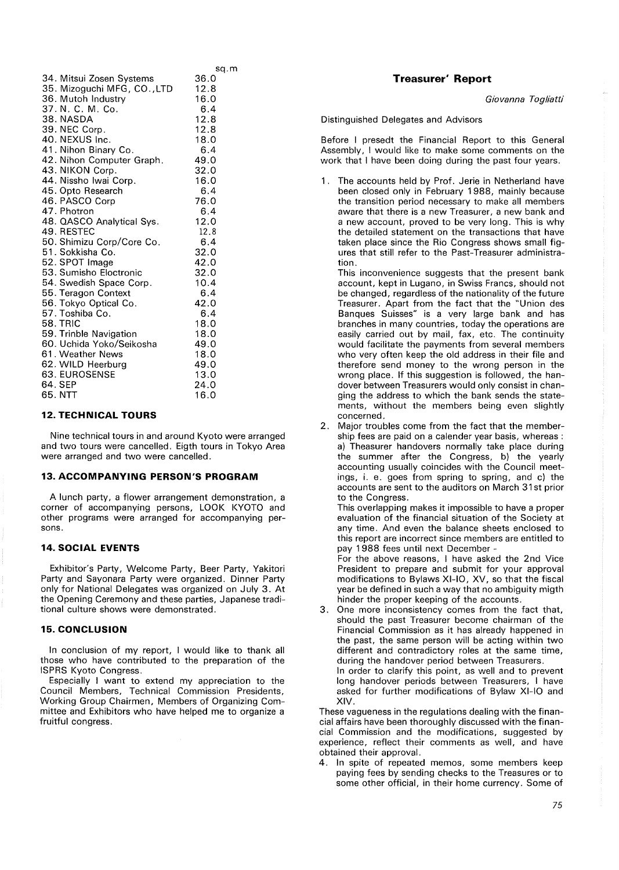|                             | sq.m |
|-----------------------------|------|
| 34. Mitsui Zosen Systems    | 36.0 |
| 35. Mizoguchi MFG, CO., LTD | 12.8 |
| 36. Mutoh Industry          | 16.0 |
| 37. N. C. M. Co.            | 6.4  |
| 38. NASDA                   | 12.8 |
| 39. NEC Corp.               | 12.8 |
| 40. NEXUS Inc.              | 18.0 |
| 41. Nihon Binary Co.        | 6,4  |
| 42. Nihon Computer Graph.   | 49.0 |
| 43. NIKON Corp.             | 32.0 |
| 44. Nissho Iwai Corp.       | 16.0 |
| 45. Opto Research           | 6.4  |
| 46. PASCO Corp              | 76.0 |
| 47. Photron                 | 6.4  |
| 48. QASCO Analytical Sys.   | 12.0 |
| 49. RESTEC                  | 12.8 |
| 50. Shimizu Corp/Core Co.   | 6.4  |
| 51. Sokkisha Co.            | 32.0 |
| 52. SPOT Image              | 42.0 |
| 53. Sumisho Eloctronic      | 32.0 |
| 54. Swedish Space Corp.     | 10.4 |
| 55. Teragon Context         | 6.4  |
| 56. Tokyo Optical Co.       | 42.0 |
| 57. Toshiba Co.             | 6.4  |
| <b>58. TRIC</b>             | 18.0 |
| 59. Trinble Navigation      | 18.0 |
| 60. Uchida Yoko/Seikosha    | 49.0 |
| 61. Weather News            | 18.0 |
| 62. WILD Heerburg           | 49.0 |
| 63. EUROSENSE               | 13.0 |
| 64. SEP                     | 24.0 |
| 65. NTT                     | 16.0 |
|                             |      |

## **12. TECHNICAL TOURS**

Nine technical tours in and around Kyoto were arranged and two tours were cancelled. Eigth tours in Tokyo Area were arranged and two were cancelled.

## **13. ACCOMPANYING PERSON'S PROGRAM**

A lunch party, a flower arrangement demonstration, a corner of accompanying persons, LOOK KYOTO and other programs were arranged for accompanying persons.

# **14. SOCIAL EVENTS**

Exhibitor's Party, Welcome Party, Beer Party, Yakitori Party and Sayonara Party were organized. Dinner Party only for National Delegates was organized on July 3. At the Opening Ceremony and these parties, Japanese traditional culture shows were demonstrated.

#### **15. CONCLUSION**

In conclusion of my report, I would like to thank all those who have contributed to the preparation of the ISPRS Kyoto Congress.

Especially I want to extend my appreciation to the Council Members, Technical Commission Presidents, Working Group Chairmen, Members of Organizing Committee and Exhibitors who have helped me to organize a fruitful congress.

# **Treasurer' Report**

*Giovanna Togliatti* 

Distinguished Delegates and Advisors

Before I presedt the Financial Report to this General Assembly, I would like to make some comments on the work that I have been doing during the past four years.

1. The accounts held by Prof. Jerie in Netherland have been closed only in February 1988, mainly because the transition period necessary to make all members aware that there is a new Treasurer, a new bank and a new account, proved to be very long. This is why the detailed statement on the transactions that have taken place since the Rio Congress shows small figures that still refer to the Past-Treasurer administration.

This inconvenience suggests that the present bank account, kept in Lugano, in Swiss Francs, should not be changed, regardless of the nationality of the future Treasurer. Apart from the fact that the "Union des Banques Suisses" is a very large bank and has branches in many countries, today the operations are easily carried out by mail, fax, etc. The continuity would facilitate the payments from several members who very often keep the old address in their file and therefore send money to the wrong person in the wrong place. If this suggestion is followed, the handover between Treasurers would only consist in changing the address to which the bank sends the statements, without the members being even slightly concerned.

2. Major troubles come from the fact that the membership fees are paid on a calender year basis, whereas : a) Theasurer handovers normally take place during the summer after the Congress, b) the yearly accounting usually coincides with the Council meetings, i. e. goes from spring to spring, and c) the accounts are sent to the auditors on March 31st prior to the Congress.

This overlapping makes it impossible to have a proper evaluation of the financial situation of the Society at any time. And even the balance sheets enclosed to this report are incorrect since members are entitled to pay 1 988 fees until next December -

For the above reasons, I have asked the 2nd Vice President to prepare and submit for your approval modifications to Bylaws Xl-I0, XV, so that the fiscal year be defined in such a way that no ambiguity migth hinder the proper keeping of the accounts.

3. One more inconsistency comes from the fact that, should the past Treasurer become chairman of the Financial Commission as it has already happened in the past, the same person will be acting within two different and contradictory roles at the same time, during the handover period between Treasurers. In order to clarify this point, as well and to prevent long handover periods between Treasurers, I have asked for further modifications of Bylaw Xl-I0 and **XIV.** 

These vagueness in the regulations dealing with the financial affairs have been thoroughly discussed with the financial Commission and the modifications, suggested by experience, reflect their comments as well, and have obtained their approval.

4. In spite of repeated memos, some members keep paying fees by sending checks to the Treasures or to some other official, in their home currency. Some of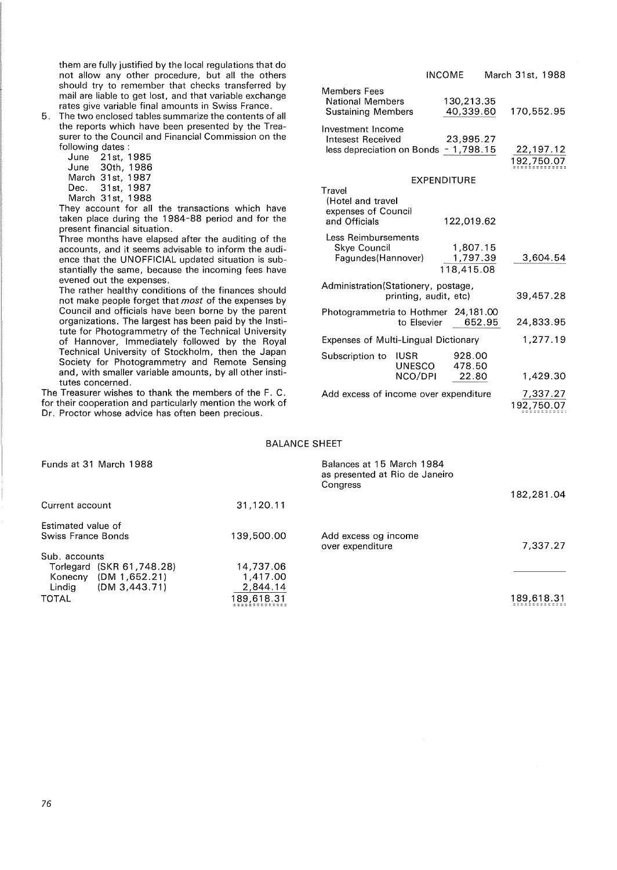them are fully justified by the local regulations that do not allow any other procedure, but all the others should try to remember that checks transferred by mail are liable to get lost, and that variable exchange rates give variable final amounts in Swiss France.

5. The two enclosed tables summarize the contents of all the reports which have been presented by the Treasurer to the Council and Financial Commission on the following dates :

| June   |       | 21st. 1985 |
|--------|-------|------------|
| June   | 30th. | 1986       |
| March  | 31st. | 1987       |
| Dec. . | 31st. | 1987       |
| March  | 31st. | 1988       |

They account for all the transactions which have taken place during the 1984-88 period and for the present financial situation.

Three months have elapsed after the auditing of the accounts, and it seems advisable to inform the audience that the UNOFFICIAL updated situation is substantially the same, because the incoming fees have evened out the expenses.

The rather healthy conditions of the finances should not make people forget that *most* of the expenses by Council and officials have been borne by the parent organizations. The largest has been paid by the Institute for Photogrammetry of the Technical University of Hannover, Immediately followed by the Royal Technical University of Stockholm, then the Japan Society for Photogrammetry and Remote Sensing and, with smaller variable amounts, by all other institutes concerned.

The Treasurer wishes to thank the members of the F. C. for their cooperation and particularly mention the work of Dr. Proctor whose advice has often been precious.

|                                                                                        |                                  | <b>INCOME</b>                      |  | March 31st, 1988 |           |  |
|----------------------------------------------------------------------------------------|----------------------------------|------------------------------------|--|------------------|-----------|--|
| <b>Members Fees</b><br><b>National Members</b><br><b>Sustaining Members</b>            |                                  | 130,213.35<br>40,339.60            |  | 170,552.95       |           |  |
| Investment Income<br><b>Intesest Received</b><br>less depreciation on Bonds - 1,798.15 |                                  | 23.995.27                          |  | 192,750.07       | 22,197.12 |  |
| EXPENDITURE                                                                            |                                  |                                    |  |                  |           |  |
| Travel<br>(Hotel and travel<br>expenses of Council<br>and Officials                    |                                  | 122,019.62                         |  |                  |           |  |
| Less Reimbursements<br>Skye Council<br>Fagundes (Hannover)                             |                                  | 1,807.15<br>1,797.39<br>118,415.08 |  |                  | 3,604.54  |  |
| Administration(Stationery, postage,<br>printing, audit, etc)                           |                                  |                                    |  |                  | 39,457.28 |  |
| Photogrammetria to Hothmer 24,181.00                                                   | to Elsevier                      | 652.95                             |  |                  | 24,833.95 |  |
| <b>Expenses of Multi-Lingual Dictionary</b>                                            |                                  |                                    |  |                  | 1,277.19  |  |
| Subscription to                                                                        | <b>IUSR</b><br>UNESCO<br>NCO/DPI | 928.00<br>478.50<br>22.80          |  |                  | 1,429.30  |  |
| Add excess of income over expenditure                                                  |                                  |                                    |  | 192,750.07       | 7,337.27  |  |

#### BALANCE SHEET

| Funds at 31 March 1988     |            | Balances at 15 March 1984<br>as presented at Rio de Janeiro<br>Congress |            |
|----------------------------|------------|-------------------------------------------------------------------------|------------|
|                            |            |                                                                         | 182,281.04 |
| Current account            | 31,120.11  |                                                                         |            |
| Estimated value of         |            |                                                                         |            |
| Swiss France Bonds         | 139.500.00 | Add excess og income<br>over expenditure                                | 7,337.27   |
| Sub. accounts              |            |                                                                         |            |
| Torlegard (SKR 61, 748.28) | 14,737.06  |                                                                         |            |
| (DM 1, 652.21)<br>Konecny  | 1,417.00   |                                                                         |            |
| Lindig<br>$(DM_3, 443.71)$ | 2,844.14   |                                                                         |            |
| <b>TOTAL</b>               | 189,618.31 |                                                                         | 189,618.31 |